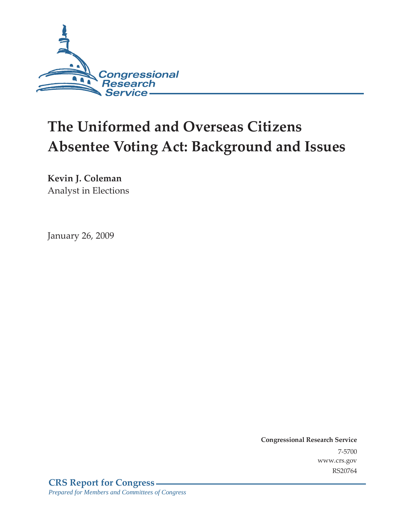

# **The Uniformed and Overseas Citizens Absentee Voting Act: Background and Issues**

**Kevin J. Coleman**  Analyst in Elections

January 26, 2009

**Congressional Research Service** 7-5700 www.crs.gov RS20764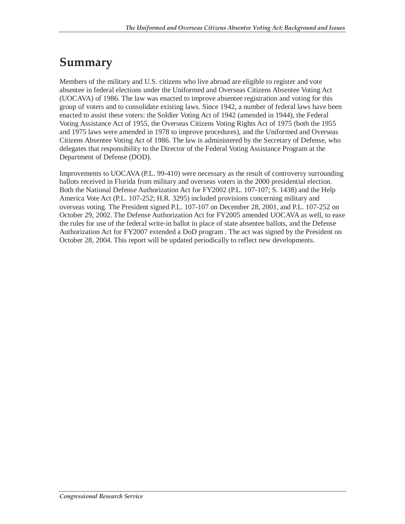#### **Summary**

Members of the military and U.S. citizens who live abroad are eligible to register and vote absentee in federal elections under the Uniformed and Overseas Citizens Absentee Voting Act (UOCAVA) of 1986. The law was enacted to improve absentee registration and voting for this group of voters and to consolidate existing laws. Since 1942, a number of federal laws have been enacted to assist these voters: the Soldier Voting Act of 1942 (amended in 1944), the Federal Voting Assistance Act of 1955, the Overseas Citizens Voting Rights Act of 1975 (both the 1955 and 1975 laws were amended in 1978 to improve procedures), and the Uniformed and Overseas Citizens Absentee Voting Act of 1986. The law is administered by the Secretary of Defense, who delegates that responsibility to the Director of the Federal Voting Assistance Program at the Department of Defense (DOD).

Improvements to UOCAVA (P.L. 99-410) were necessary as the result of controversy surrounding ballots received in Florida from military and overseas voters in the 2000 presidential election. Both the National Defense Authorization Act for FY2002 (P.L. 107-107; S. 1438) and the Help America Vote Act (P.L. 107-252; H.R. 3295) included provisions concerning military and overseas voting. The President signed P.L. 107-107 on December 28, 2001, and P.L. 107-252 on October 29, 2002. The Defense Authorization Act for FY2005 amended UOCAVA as well, to ease the rules for use of the federal write-in ballot in place of state absentee ballots, and the Defense Authorization Act for FY2007 extended a DoD program . The act was signed by the President on October 28, 2004. This report will be updated periodically to reflect new developments.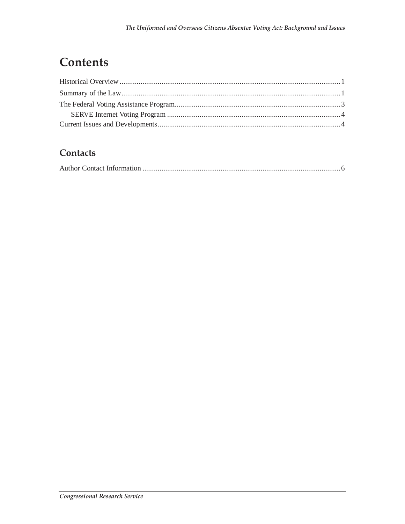## Contents

#### Contacts

|--|--|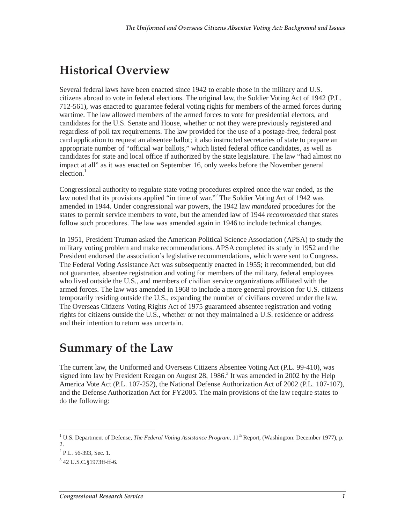### **Historical Overview**

Several federal laws have been enacted since 1942 to enable those in the military and U.S. citizens abroad to vote in federal elections. The original law, the Soldier Voting Act of 1942 (P.L. 712-561), was enacted to guarantee federal voting rights for members of the armed forces during wartime. The law allowed members of the armed forces to vote for presidential electors, and candidates for the U.S. Senate and House, whether or not they were previously registered and regardless of poll tax requirements. The law provided for the use of a postage-free, federal post card application to request an absentee ballot; it also instructed secretaries of state to prepare an appropriate number of "official war ballots," which listed federal office candidates, as well as candidates for state and local office if authorized by the state legislature. The law "had almost no impact at all" as it was enacted on September 16, only weeks before the November general election.<sup>1</sup>

Congressional authority to regulate state voting procedures expired once the war ended, as the law noted that its provisions applied "in time of war."<sup>2</sup> The Soldier Voting Act of 1942 was amended in 1944. Under congressional war powers, the 1942 law *mandated* procedures for the states to permit service members to vote, but the amended law of 1944 *recommended* that states follow such procedures. The law was amended again in 1946 to include technical changes.

In 1951, President Truman asked the American Political Science Association (APSA) to study the military voting problem and make recommendations. APSA completed its study in 1952 and the President endorsed the association's legislative recommendations, which were sent to Congress. The Federal Voting Assistance Act was subsequently enacted in 1955; it recommended, but did not guarantee, absentee registration and voting for members of the military, federal employees who lived outside the U.S., and members of civilian service organizations affiliated with the armed forces. The law was amended in 1968 to include a more general provision for U.S. citizens temporarily residing outside the U.S., expanding the number of civilians covered under the law. The Overseas Citizens Voting Rights Act of 1975 guaranteed absentee registration and voting rights for citizens outside the U.S., whether or not they maintained a U.S. residence or address and their intention to return was uncertain.

### **Summary of the Law**

The current law, the Uniformed and Overseas Citizens Absentee Voting Act (P.L. 99-410), was signed into law by President Reagan on August 28, 1986.<sup>3</sup> It was amended in 2002 by the Help America Vote Act (P.L. 107-252), the National Defense Authorization Act of 2002 (P.L. 107-107), and the Defense Authorization Act for FY2005. The main provisions of the law require states to do the following:

<sup>&</sup>lt;sup>1</sup> U.S. Department of Defense, *The Federal Voting Assistance Program*, 11<sup>th</sup> Report, (Washington: December 1977), p. 2.

 $2$  P.L. 56-393, Sec. 1.

<sup>3</sup> 42 U.S.C.§1973ff-ff-6.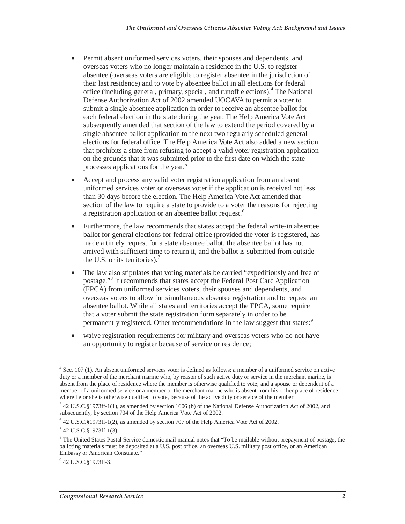- Permit absent uniformed services voters, their spouses and dependents, and overseas voters who no longer maintain a residence in the U.S. to register absentee (overseas voters are eligible to register absentee in the jurisdiction of their last residence) and to vote by absentee ballot in all elections for federal office (including general, primary, special, and runoff elections).<sup>4</sup> The National Defense Authorization Act of 2002 amended UOCAVA to permit a voter to submit a single absentee application in order to receive an absentee ballot for each federal election in the state during the year. The Help America Vote Act subsequently amended that section of the law to extend the period covered by a single absentee ballot application to the next two regularly scheduled general elections for federal office. The Help America Vote Act also added a new section that prohibits a state from refusing to accept a valid voter registration application on the grounds that it was submitted prior to the first date on which the state processes applications for the year.<sup>5</sup>
- Accept and process any valid voter registration application from an absent uniformed services voter or overseas voter if the application is received not less than 30 days before the election. The Help America Vote Act amended that section of the law to require a state to provide to a voter the reasons for rejecting a registration application or an absentee ballot request.<sup>6</sup>
- Furthermore, the law recommends that states accept the federal write-in absentee ballot for general elections for federal office (provided the voter is registered, has made a timely request for a state absentee ballot, the absentee ballot has not arrived with sufficient time to return it, and the ballot is submitted from outside the U.S. or its territories).<sup>7</sup>
- The law also stipulates that voting materials be carried "expeditiously and free of postage."<sup>8</sup> It recommends that states accept the Federal Post Card Application (FPCA) from uniformed services voters, their spouses and dependents, and overseas voters to allow for simultaneous absentee registration and to request an absentee ballot. While all states and territories accept the FPCA, some require that a voter submit the state registration form separately in order to be permanently registered. Other recommendations in the law suggest that states:<sup>9</sup>
- waive registration requirements for military and overseas voters who do not have an opportunity to register because of service or residence;

 $4$  Sec. 107 (1). An absent uniformed services voter is defined as follows: a member of a uniformed service on active duty or a member of the merchant marine who, by reason of such active duty or service in the merchant marine, is absent from the place of residence where the member is otherwise qualified to vote; and a spouse or dependent of a member of a uniformed service or a member of the merchant marine who is absent from his or her place of residence where he or she is otherwise qualified to vote, because of the active duty or service of the member.

<sup>5</sup> 42 U.S.C.§1973ff-1(1), as amended by section 1606 (b) of the National Defense Authorization Act of 2002, and subsequently, by section 704 of the Help America Vote Act of 2002.

 $^{6}$  42 U.S.C.§1973ff-1(2), as amended by section 707 of the Help America Vote Act of 2002.<br><sup>7</sup> 42 U.S.C.§1973ff-1(3)

 <sup>42</sup> U.S.C.§1973ff-1(3).

<sup>&</sup>lt;sup>8</sup> The United States Postal Service domestic mail manual notes that "To be mailable without prepayment of postage, the balloting materials must be deposited at a U.S. post office, an overseas U.S. military post office, or an American Embassy or American Consulate."

<sup>&</sup>lt;sup>9</sup> 42 U.S.C.§1973ff-3.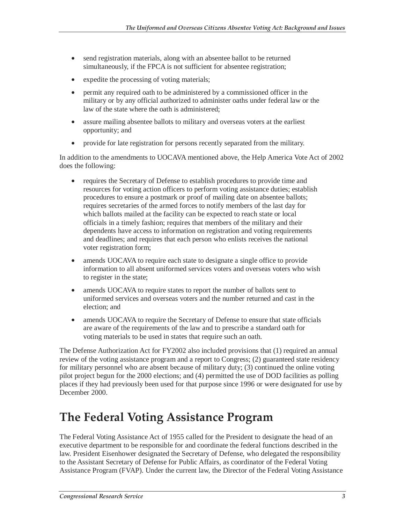- send registration materials, along with an absentee ballot to be returned simultaneously, if the FPCA is not sufficient for absentee registration;
- expedite the processing of voting materials;
- permit any required oath to be administered by a commissioned officer in the military or by any official authorized to administer oaths under federal law or the law of the state where the oath is administered;
- assure mailing absentee ballots to military and overseas voters at the earliest opportunity; and
- provide for late registration for persons recently separated from the military.

In addition to the amendments to UOCAVA mentioned above, the Help America Vote Act of 2002 does the following:

- requires the Secretary of Defense to establish procedures to provide time and resources for voting action officers to perform voting assistance duties; establish procedures to ensure a postmark or proof of mailing date on absentee ballots; requires secretaries of the armed forces to notify members of the last day for which ballots mailed at the facility can be expected to reach state or local officials in a timely fashion; requires that members of the military and their dependents have access to information on registration and voting requirements and deadlines; and requires that each person who enlists receives the national voter registration form;
- amends UOCAVA to require each state to designate a single office to provide information to all absent uniformed services voters and overseas voters who wish to register in the state;
- amends UOCAVA to require states to report the number of ballots sent to uniformed services and overseas voters and the number returned and cast in the election; and
- amends UOCAVA to require the Secretary of Defense to ensure that state officials are aware of the requirements of the law and to prescribe a standard oath for voting materials to be used in states that require such an oath.

The Defense Authorization Act for FY2002 also included provisions that (1) required an annual review of the voting assistance program and a report to Congress; (2) guaranteed state residency for military personnel who are absent because of military duty; (3) continued the online voting pilot project begun for the 2000 elections; and (4) permitted the use of DOD facilities as polling places if they had previously been used for that purpose since 1996 or were designated for use by December 2000.

## **The Federal Voting Assistance Program**

The Federal Voting Assistance Act of 1955 called for the President to designate the head of an executive department to be responsible for and coordinate the federal functions described in the law. President Eisenhower designated the Secretary of Defense, who delegated the responsibility to the Assistant Secretary of Defense for Public Affairs, as coordinator of the Federal Voting Assistance Program (FVAP). Under the current law, the Director of the Federal Voting Assistance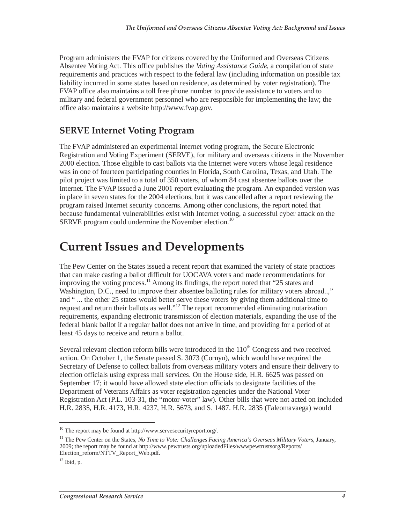Program administers the FVAP for citizens covered by the Uniformed and Overseas Citizens Absentee Voting Act. This office publishes the *Voting Assistance Guide*, a compilation of state requirements and practices with respect to the federal law (including information on possible tax liability incurred in some states based on residence, as determined by voter registration). The FVAP office also maintains a toll free phone number to provide assistance to voters and to military and federal government personnel who are responsible for implementing the law; the office also maintains a website http://www.fvap.gov.

#### **SERVE Internet Voting Program**

The FVAP administered an experimental internet voting program, the Secure Electronic Registration and Voting Experiment (SERVE), for military and overseas citizens in the November 2000 election. Those eligible to cast ballots via the Internet were voters whose legal residence was in one of fourteen participating counties in Florida, South Carolina, Texas, and Utah. The pilot project was limited to a total of 350 voters, of whom 84 cast absentee ballots over the Internet. The FVAP issued a June 2001 report evaluating the program. An expanded version was in place in seven states for the 2004 elections, but it was cancelled after a report reviewing the program raised Internet security concerns. Among other conclusions, the report noted that because fundamental vulnerabilities exist with Internet voting, a successful cyber attack on the SERVE program could undermine the November election.<sup>10</sup>

#### **Current Issues and Developments**

The Pew Center on the States issued a recent report that examined the variety of state practices that can make casting a ballot difficult for UOCAVA voters and made recommendations for improving the voting process.<sup>11</sup> Among its findings, the report noted that "25 states and Washington, D.C., need to improve their absentee balloting rules for military voters abroad..," and " ... the other 25 states would better serve these voters by giving them additional time to request and return their ballots as well."12 The report recommended eliminating notarization requirements, expanding electronic transmission of election materials, expanding the use of the federal blank ballot if a regular ballot does not arrive in time, and providing for a period of at least 45 days to receive and return a ballot.

Several relevant election reform bills were introduced in the 110<sup>th</sup> Congress and two received action. On October 1, the Senate passed S. 3073 (Cornyn), which would have required the Secretary of Defense to collect ballots from overseas military voters and ensure their delivery to election officials using express mail services. On the House side, H.R. 6625 was passed on September 17; it would have allowed state election officials to designate facilities of the Department of Veterans Affairs as voter registration agencies under the National Voter Registration Act (P.L. 103-31, the "motor-voter" law). Other bills that were not acted on included H.R. 2835, H.R. 4173, H.R. 4237, H.R. 5673, and S. 1487. H.R. 2835 (Faleomavaega) would

 $^{10}$  The report may be found at http://www.servesecurityreport.org/.

<sup>&</sup>lt;sup>11</sup> The Pew Center on the States, *No Time to Vote: Challenges Facing America's Overseas Military Voters*, January, 2009; the report may be found at http://www.pewtrusts.org/uploadedFiles/wwwpewtrustsorg/Reports/ Election\_reform/NTTV\_Report\_Web.pdf.

 $12$  Ibid, p.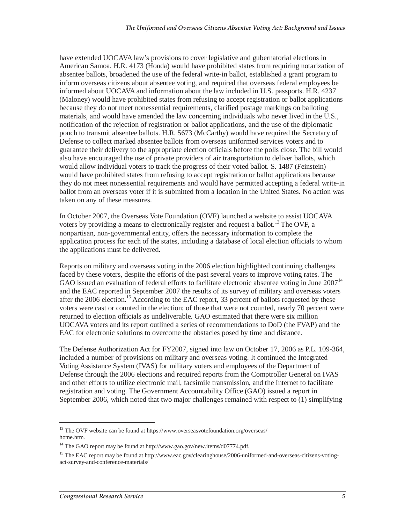have extended UOCAVA law's provisions to cover legislative and gubernatorial elections in American Samoa. H.R. 4173 (Honda) would have prohibited states from requiring notarization of absentee ballots, broadened the use of the federal write-in ballot, established a grant program to inform overseas citizens about absentee voting, and required that overseas federal employees be informed about UOCAVA and information about the law included in U.S. passports. H.R. 4237 (Maloney) would have prohibited states from refusing to accept registration or ballot applications because they do not meet nonessential requirements, clarified postage markings on balloting materials, and would have amended the law concerning individuals who never lived in the U.S., notification of the rejection of registration or ballot applications, and the use of the diplomatic pouch to transmit absentee ballots. H.R. 5673 (McCarthy) would have required the Secretary of Defense to collect marked absentee ballots from overseas uniformed services voters and to guarantee their delivery to the appropriate election officials before the polls close. The bill would also have encouraged the use of private providers of air transportation to deliver ballots, which would allow individual voters to track the progress of their voted ballot. S. 1487 (Feinstein) would have prohibited states from refusing to accept registration or ballot applications because they do not meet nonessential requirements and would have permitted accepting a federal write-in ballot from an overseas voter if it is submitted from a location in the United States. No action was taken on any of these measures.

In October 2007, the Overseas Vote Foundation (OVF) launched a website to assist UOCAVA voters by providing a means to electronically register and request a ballot.<sup>13</sup> The OVF, a nonpartisan, non-governmental entity, offers the necessary information to complete the application process for each of the states, including a database of local election officials to whom the applications must be delivered.

Reports on military and overseas voting in the 2006 election highlighted continuing challenges faced by these voters, despite the efforts of the past several years to improve voting rates. The GAO issued an evaluation of federal efforts to facilitate electronic absentee voting in June 2007<sup>14</sup> and the EAC reported in September 2007 the results of its survey of military and overseas voters after the 2006 election.<sup>15</sup> According to the EAC report, 33 percent of ballots requested by these voters were cast or counted in the election; of those that were not counted, nearly 70 percent were returned to election officials as undeliverable. GAO estimated that there were six million UOCAVA voters and its report outlined a series of recommendations to DoD (the FVAP) and the EAC for electronic solutions to overcome the obstacles posed by time and distance.

The Defense Authorization Act for FY2007, signed into law on October 17, 2006 as P.L. 109-364, included a number of provisions on military and overseas voting. It continued the Integrated Voting Assistance System (IVAS) for military voters and employees of the Department of Defense through the 2006 elections and required reports from the Comptroller General on IVAS and other efforts to utilize electronic mail, facsimile transmission, and the Internet to facilitate registration and voting. The Government Accountability Office (GAO) issued a report in September 2006, which noted that two major challenges remained with respect to (1) simplifying

<sup>&</sup>lt;sup>13</sup> The OVF website can be found at https://www.overseasvotefoundation.org/overseas/ home.htm.

<sup>&</sup>lt;sup>14</sup> The GAO report may be found at http://www.gao.gov/new.items/d07774.pdf.

<sup>&</sup>lt;sup>15</sup> The EAC report may be found at http://www.eac.gov/clearinghouse/2006-uniformed-and-overseas-citizens-votingact-survey-and-conference-materials/